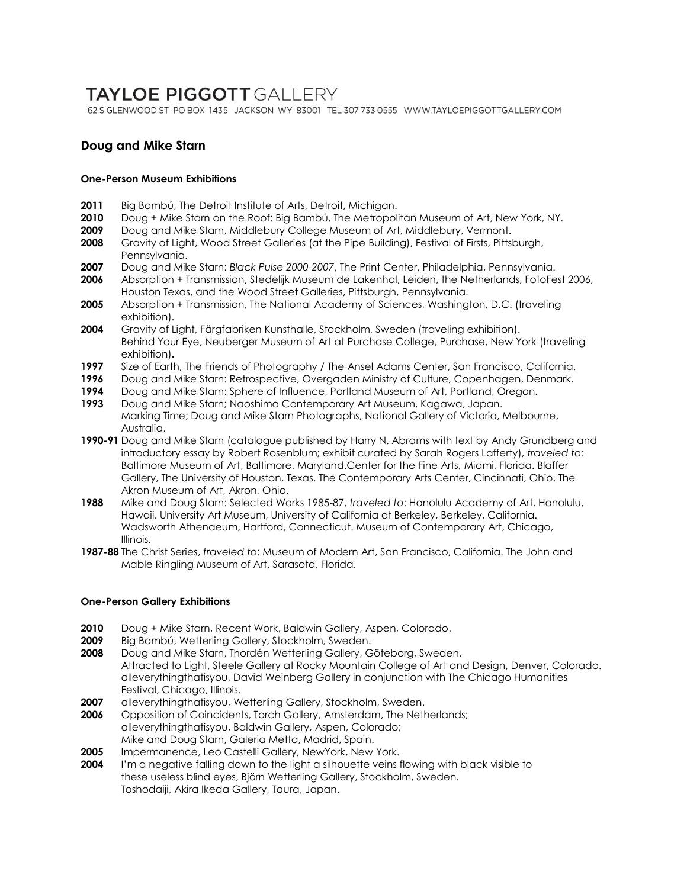# **TAYLOE PIGGOTT GALLERY**

62 S GLENWOOD ST PO BOX 1435 JACKSON WY 83001 TEL 307 733 0555 WWW.TAYLOEPIGGOTTGALLERY.COM

# **Doug and Mike Starn**

## **One-Person Museum Exhibitions**

- 2011 Big Bambú, The Detroit Institute of Arts, Detroit, Michigan.
- **2010** Doug + Mike Starn on the Roof: Big Bambú, The Metropolitan Museum of Art, New York, NY.
- **2009** Doug and Mike Starn, Middlebury College Museum of Art, Middlebury, Vermont.
- **2008** Gravity of Light, Wood Street Galleries (at the Pipe Building), Festival of Firsts, Pittsburgh, Pennsylvania.
- **2007** Doug and Mike Starn: *Black Pulse 2000-2007*, The Print Center, Philadelphia, Pennsylvania.
- **2006** Absorption + Transmission, Stedelijk Museum de Lakenhal, Leiden, the Netherlands, FotoFest 2006, Houston Texas, and the Wood Street Galleries, Pittsburgh, Pennsylvania.
- **2005** Absorption + Transmission, The National Academy of Sciences, Washington, D.C. (traveling exhibition).
- **2004** Gravity of Light, Färgfabriken Kunsthalle, Stockholm, Sweden (traveling exhibition). Behind Your Eye, Neuberger Museum of Art at Purchase College, Purchase, New York (traveling exhibition)**.**
- **1997** Size of Earth, The Friends of Photography / The Ansel Adams Center, San Francisco, California.
- **1996** Doug and Mike Starn: Retrospective, Overgaden Ministry of Culture, Copenhagen, Denmark.
- **1994** Doug and Mike Starn: Sphere of Influence, Portland Museum of Art, Portland, Oregon.
- **1993** Doug and Mike Starn; Naoshima Contemporary Art Museum, Kagawa, Japan. Marking Time; Doug and Mike Starn Photographs, National Gallery of Victoria, Melbourne, Australia.
- **1990-91** Doug and Mike Starn (catalogue published by Harry N. Abrams with text by Andy Grundberg and introductory essay by Robert Rosenblum; exhibit curated by Sarah Rogers Lafferty), *traveled to*: Baltimore Museum of Art, Baltimore, Maryland.Center for the Fine Arts, Miami, Florida. Blaffer Gallery, The University of Houston, Texas. The Contemporary Arts Center, Cincinnati, Ohio. The Akron Museum of Art, Akron, Ohio.
- **1988** Mike and Doug Starn: Selected Works 1985-87, *traveled to*: Honolulu Academy of Art, Honolulu, Hawaii. University Art Museum, University of California at Berkeley, Berkeley, California. Wadsworth Athenaeum, Hartford, Connecticut. Museum of Contemporary Art, Chicago, Illinois.
- **1987-88** The Christ Series, *traveled to*: Museum of Modern Art, San Francisco, California. The John and Mable Ringling Museum of Art, Sarasota, Florida.

# **One-Person Gallery Exhibitions**

- **2010** Doug + Mike Starn, Recent Work, Baldwin Gallery, Aspen, Colorado.
- **2009** Big Bambú, Wetterling Gallery, Stockholm, Sweden.
- **2008** Doug and Mike Starn, Thordén Wetterling Gallery, Göteborg, Sweden. Attracted to Light, Steele Gallery at Rocky Mountain College of Art and Design, Denver, Colorado. alleverythingthatisyou, David Weinberg Gallery in conjunction with The Chicago Humanities Festival, Chicago, Illinois.
- 2007 alleverythingthatisyou, Wetterling Gallery, Stockholm, Sweden.
- **2006** Opposition of Coincidents, Torch Gallery, Amsterdam, The Netherlands; alleverythingthatisyou, Baldwin Gallery, Aspen, Colorado; Mike and Doug Starn, Galeria Metta, Madrid, Spain.
- **2005** Impermanence, Leo Castelli Gallery, NewYork, New York.
- **2004** I'm a negative falling down to the light a silhouette veins flowing with black visible to these useless blind eyes, Björn Wetterling Gallery, Stockholm, Sweden. Toshodaiji, Akira Ikeda Gallery, Taura, Japan.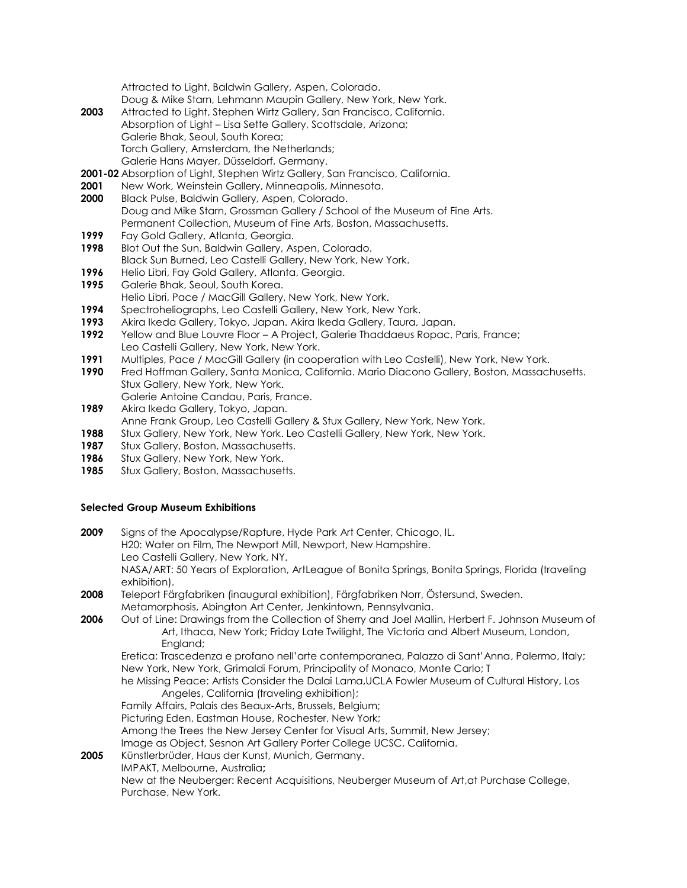Attracted to Light, Baldwin Gallery, Aspen, Colorado. Doug & Mike Starn, Lehmann Maupin Gallery, New York, New York.

- **2003** Attracted to Light, Stephen Wirtz Gallery, San Francisco, California. Absorption of Light – Lisa Sette Gallery, Scottsdale, Arizona; Galerie Bhak, Seoul, South Korea; Torch Gallery, Amsterdam, the Netherlands; Galerie Hans Mayer, Düsseldorf, Germany.
- **2001-02** Absorption of Light, Stephen Wirtz Gallery, San Francisco, California.
- **2001** New Work, Weinstein Gallery, Minneapolis, Minnesota.
- **2000** Black Pulse, Baldwin Gallery, Aspen, Colorado. Doug and Mike Starn, Grossman Gallery / School of the Museum of Fine Arts. Permanent Collection, Museum of Fine Arts, Boston, Massachusetts.
- **1999** Fay Gold Gallery, Atlanta, Georgia.
- **1998** Blot Out the Sun, Baldwin Gallery, Aspen, Colorado. Black Sun Burned, Leo Castelli Gallery, New York, New York.
- **1996** Helio Libri, Fay Gold Gallery, Atlanta, Georgia.
- **1995** Galerie Bhak, Seoul, South Korea.
- Helio Libri, Pace / MacGill Gallery, New York, New York. **1994** Spectroheliographs, Leo Castelli Gallery, New York, New York.
- **1993** Akira Ikeda Gallery, Tokyo, Japan. Akira Ikeda Gallery, Taura, Japan.
- **1992** Yellow and Blue Louvre Floor A Project, Galerie Thaddaeus Ropac, Paris, France; Leo Castelli Gallery, New York, New York.
- **1991** Multiples, Pace / MacGill Gallery (in cooperation with Leo Castelli), New York, New York.
- **1990** Fred Hoffman Gallery, Santa Monica, California. Mario Diacono Gallery, Boston, Massachusetts. Stux Gallery, New York, New York.
	- Galerie Antoine Candau, Paris, France.
- **1989** Akira Ikeda Gallery, Tokyo, Japan.
- Anne Frank Group, Leo Castelli Gallery & Stux Gallery, New York, New York.
- **1988** Stux Gallery, New York, New York. Leo Castelli Gallery, New York, New York.
- 1987 Stux Gallery, Boston, Massachusetts. **1986** Stux Gallery, New York, New York.
- 1985 Stux Gallery, Boston, Massachusetts.

### **Selected Group Museum Exhibitions**

| 2009 | Signs of the Apocalypse/Rapture, Hyde Park Art Center, Chicago, IL.                                                                           |
|------|-----------------------------------------------------------------------------------------------------------------------------------------------|
|      | H20: Water on Film, The Newport Mill, Newport, New Hampshire.                                                                                 |
|      | Leo Castelli Gallery, New York, NY.                                                                                                           |
|      | NASA/ART: 50 Years of Exploration, ArtLeague of Bonita Springs, Bonita Springs, Florida (traveling<br>exhibition).                            |
| 2008 | Teleport Färgfabriken (inaugural exhibition), Färgfabriken Norr, Östersund, Sweden.                                                           |
|      | Metamorphosis, Abington Art Center, Jenkintown, Pennsylvania.                                                                                 |
| 2006 | Out of Line: Drawings from the Collection of Sherry and Joel Mallin, Herbert F. Johnson Museum of                                             |
|      | Art, Ithaca, New York; Friday Late Twilight, The Victoria and Albert Museum, London,<br>England;                                              |
|      | Eretica: Trascedenza e profano nell'arte contemporanea, Palazzo di Sant'Anna, Palermo, Italy;                                                 |
|      | New York, New York, Grimaldi Forum, Principality of Monaco, Monte Carlo; T                                                                    |
|      | he Missing Peace: Artists Consider the Dalai Lama, UCLA Fowler Museum of Cultural History, Los<br>Angeles, California (traveling exhibition); |
|      | Family Affairs, Palais des Beaux-Arts, Brussels, Belgium;                                                                                     |
|      | Picturing Eden, Eastman House, Rochester, New York;                                                                                           |
|      | Among the Trees the New Jersey Center for Visual Arts, Summit, New Jersey;                                                                    |
|      | Image as Object, Sesnon Art Gallery Porter College UCSC, California.                                                                          |
| 2005 | Künstlerbrüder, Haus der Kunst, Munich, Germany.                                                                                              |
|      | IMPAKT, Melbourne, Australia;                                                                                                                 |
|      | New at the Neuberger: Recent Acquisitions, Neuberger Museum of Art, at Purchase College,<br>Purchase, New York.                               |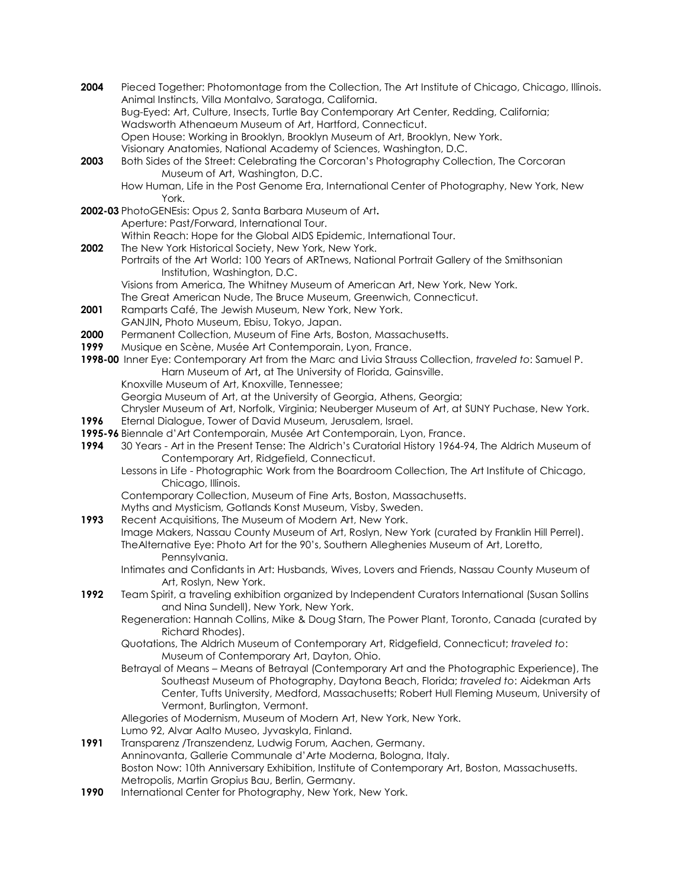- **2004** Pieced Together: Photomontage from the Collection, The Art Institute of Chicago, Chicago, Illinois. Animal Instincts, Villa Montalvo, Saratoga, California. Bug-Eyed: Art, Culture, Insects, Turtle Bay Contemporary Art Center, Redding, California; Wadsworth Athenaeum Museum of Art, Hartford, Connecticut. Open House: Working in Brooklyn, Brooklyn Museum of Art, Brooklyn, New York. Visionary Anatomies, National Academy of Sciences, Washington, D.C. **2003** Both Sides of the Street: Celebrating the Corcoran's Photography Collection, The Corcoran Museum of Art, Washington, D.C. How Human, Life in the Post Genome Era, International Center of Photography, New York, New York. **2002-03** PhotoGENEsis: Opus 2, Santa Barbara Museum of Art**.** Aperture: Past/Forward, International Tour. Within Reach: Hope for the Global AIDS Epidemic, International Tour. **2002** The New York Historical Society, New York, New York. Portraits of the Art World: 100 Years of ARTnews, National Portrait Gallery of the Smithsonian Institution, Washington, D.C. Visions from America, The Whitney Museum of American Art, New York, New York. The Great American Nude, The Bruce Museum, Greenwich, Connecticut. **2001** Ramparts Café, The Jewish Museum, New York, New York. GANJIN**,** Photo Museum, Ebisu, Tokyo, Japan. **2000** Permanent Collection, Museum of Fine Arts, Boston, Massachusetts.
- **1999** Musique en Scène, Musée Art Contemporain, Lyon, France.
- **1998-00** Inner Eye: Contemporary Art from the Marc and Livia Strauss Collection, *traveled to*: Samuel P. Harn Museum of Art**,** at The University of Florida, Gainsville.
	- Knoxville Museum of Art, Knoxville, Tennessee;

Georgia Museum of Art, at the University of Georgia, Athens, Georgia;

Chrysler Museum of Art, Norfolk, Virginia; Neuberger Museum of Art, at SUNY Puchase, New York.

- **1996** Eternal Dialogue, Tower of David Museum, Jerusalem, Israel.
- **1995-96** Biennale d'Art Contemporain, Musée Art Contemporain, Lyon, France.
- **1994** 30 Years Art in the Present Tense: The Aldrich's Curatorial History 1964-94, The Aldrich Museum of Contemporary Art, Ridgefield, Connecticut.
	- Lessons in Life Photographic Work from the Boardroom Collection, The Art Institute of Chicago, Chicago, Illinois.
	- Contemporary Collection, Museum of Fine Arts, Boston, Massachusetts.

Myths and Mysticism, Gotlands Konst Museum, Visby, Sweden.

- **1993** Recent Acquisitions, The Museum of Modern Art, New York.
	- Image Makers, Nassau County Museum of Art, Roslyn, New York (curated by Franklin Hill Perrel). TheAlternative Eye: Photo Art for the 90's, Southern Alleghenies Museum of Art, Loretto, Pennsylvania.
		- Intimates and Confidants in Art: Husbands, Wives, Lovers and Friends, Nassau County Museum of Art, Roslyn, New York.
- **1992** Team Spirit, a traveling exhibition organized by Independent Curators International (Susan Sollins and Nina Sundell), New York, New York.
	- Regeneration: Hannah Collins, Mike & Doug Starn, The Power Plant, Toronto, Canada (curated by Richard Rhodes).
	- Quotations, The Aldrich Museum of Contemporary Art, Ridgefield, Connecticut; *traveled to*: Museum of Contemporary Art, Dayton, Ohio.
	- Betrayal of Means Means of Betrayal (Contemporary Art and the Photographic Experience), The Southeast Museum of Photography, Daytona Beach, Florida; *traveled to*: Aidekman Arts Center, Tufts University, Medford, Massachusetts; Robert Hull Fleming Museum, University of Vermont, Burlington, Vermont.

Allegories of Modernism, Museum of Modern Art, New York, New York.

Lumo 92, Alvar Aalto Museo, Jyvaskyla, Finland.

- **1991** Transparenz /Transzendenz, Ludwig Forum, Aachen, Germany. Anninovanta, Gallerie Communale d'Arte Moderna, Bologna, Italy. Boston Now: 10th Anniversary Exhibition, Institute of Contemporary Art, Boston, Massachusetts. Metropolis, Martin Gropius Bau, Berlin, Germany.
- **1990** International Center for Photography, New York, New York.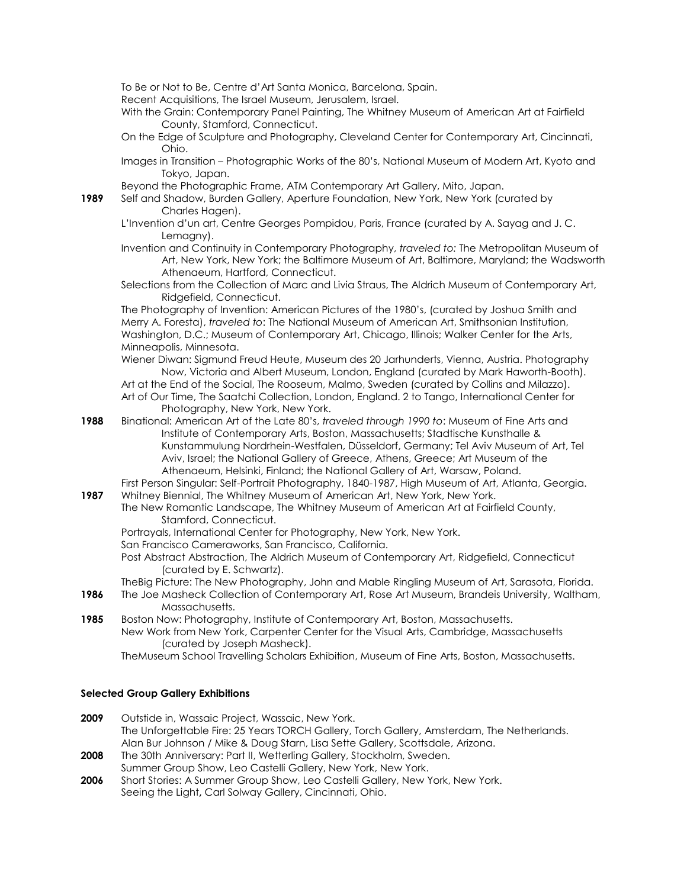To Be or Not to Be, Centre d'Art Santa Monica, Barcelona, Spain.

Recent Acquisitions, The Israel Museum, Jerusalem, Israel.

- With the Grain: Contemporary Panel Painting, The Whitney Museum of American Art at Fairfield County, Stamford, Connecticut.
- On the Edge of Sculpture and Photography, Cleveland Center for Contemporary Art, Cincinnati, Ohio.
- Images in Transition Photographic Works of the 80's, National Museum of Modern Art, Kyoto and Tokyo, Japan.
- Beyond the Photographic Frame, ATM Contemporary Art Gallery, Mito, Japan.
- **1989** Self and Shadow, Burden Gallery, Aperture Foundation, New York, New York (curated by Charles Hagen).
	- L'Invention d'un art, Centre Georges Pompidou, Paris, France (curated by A. Sayag and J. C. Lemagny).
	- Invention and Continuity in Contemporary Photography, *traveled to:* The Metropolitan Museum of Art, New York, New York; the Baltimore Museum of Art, Baltimore, Maryland; the Wadsworth Athenaeum, Hartford, Connecticut.
	- Selections from the Collection of Marc and Livia Straus, The Aldrich Museum of Contemporary Art, Ridgefield, Connecticut.

The Photography of Invention: American Pictures of the 1980's, (curated by Joshua Smith and Merry A. Foresta), *traveled to*: The National Museum of American Art, Smithsonian Institution, Washington, D.C.; Museum of Contemporary Art, Chicago, Illinois; Walker Center for the Arts, Minneapolis, Minnesota.

Wiener Diwan: Sigmund Freud Heute, Museum des 20 Jarhunderts, Vienna, Austria. Photography Now, Victoria and Albert Museum, London, England (curated by Mark Haworth-Booth).

- Art at the End of the Social, The Rooseum, Malmo, Sweden (curated by Collins and Milazzo). Art of Our Time, The Saatchi Collection, London, England. 2 to Tango, International Center for Photography, New York, New York.
- **1988** Binational: American Art of the Late 80's, *traveled through 1990 to*: Museum of Fine Arts and Institute of Contemporary Arts, Boston, Massachusetts; Stadtische Kunsthalle & Kunstammulung Nordrhein-Westfalen, Düsseldorf, Germany; Tel Aviv Museum of Art, Tel Aviv, Israel; the National Gallery of Greece, Athens, Greece; Art Museum of the Athenaeum, Helsinki, Finland; the National Gallery of Art, Warsaw, Poland.

First Person Singular: Self-Portrait Photography, 1840-1987, High Museum of Art, Atlanta, Georgia. **1987** Whitney Biennial, The Whitney Museum of American Art, New York, New York.

- The New Romantic Landscape, The Whitney Museum of American Art at Fairfield County, Stamford, Connecticut.
	- Portrayals, International Center for Photography, New York, New York.
	- San Francisco Cameraworks, San Francisco, California.
	- Post Abstract Abstraction, The Aldrich Museum of Contemporary Art, Ridgefield, Connecticut (curated by E. Schwartz).
	- TheBig Picture: The New Photography, John and Mable Ringling Museum of Art, Sarasota, Florida.
- **1986** The Joe Masheck Collection of Contemporary Art, Rose Art Museum, Brandeis University, Waltham, Massachusetts.
- **1985** Boston Now: Photography, Institute of Contemporary Art, Boston, Massachusetts. New Work from New York, Carpenter Center for the Visual Arts, Cambridge, Massachusetts (curated by Joseph Masheck).
	- TheMuseum School Travelling Scholars Exhibition, Museum of Fine Arts, Boston, Massachusetts.

## **Selected Group Gallery Exhibitions**

- **2009** Outstide in, Wassaic Project, Wassaic, New York. The Unforgettable Fire: 25 Years TORCH Gallery, Torch Gallery, Amsterdam, The Netherlands. Alan Bur Johnson / Mike & Doug Starn, Lisa Sette Gallery, Scottsdale, Arizona.
- **2008** The 30th Anniversary: Part II, Wetterling Gallery, Stockholm, Sweden.
- Summer Group Show, Leo Castelli Gallery, New York, New York. **2006** Short Stories: A Summer Group Show, Leo Castelli Gallery, New York, New York.
	- Seeing the Light**,** Carl Solway Gallery, Cincinnati, Ohio.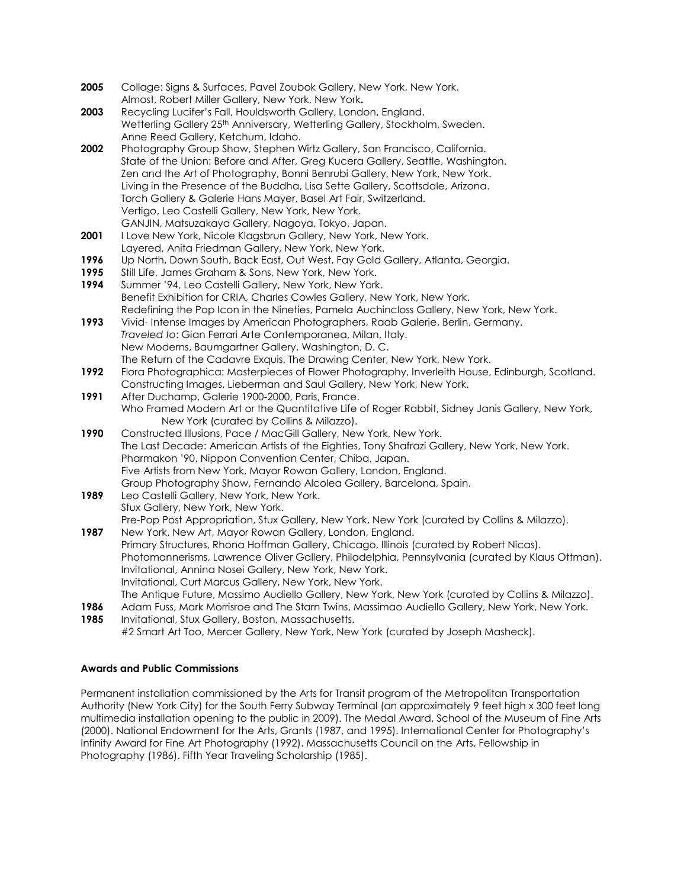- 2005 Collage: Signs & Surfaces, Pavel Zoubok Gallery, New York, New York. Almost, Robert Miller Gallery, New York, New York**.**
- **2003** Recycling Lucifer's Fall, Houldsworth Gallery, London, England. Wetterling Gallery 25<sup>th</sup> Anniversary, Wetterling Gallery, Stockholm, Sweden. Anne Reed Gallery, Ketchum, Idaho.
- **2002** Photography Group Show, Stephen Wirtz Gallery, San Francisco, California. State of the Union: Before and After, Greg Kucera Gallery, Seattle, Washington. Zen and the Art of Photography, Bonni Benrubi Gallery, New York, New York. Living in the Presence of the Buddha, Lisa Sette Gallery, Scottsdale, Arizona. Torch Gallery & Galerie Hans Mayer, Basel Art Fair, Switzerland. Vertigo, Leo Castelli Gallery, New York, New York. GANJIN, Matsuzakaya Gallery, Nagoya, Tokyo, Japan.
- 2001 I Love New York, Nicole Klagsbrun Gallery, New York, New York. Layered, Anita Friedman Gallery, New York, New York.
- **1996** Up North, Down South, Back East, Out West, Fay Gold Gallery, Atlanta, Georgia.
- **1995** Still Life, James Graham & Sons, New York, New York.
- **1994** Summer '94, Leo Castelli Gallery, New York, New York. Benefit Exhibition for CRIA, Charles Cowles Gallery, New York, New York. Redefining the Pop Icon in the Nineties, Pamela Auchincloss Gallery, New York, New York.
- **1993** Vivid- Intense Images by American Photographers, Raab Galerie, Berlin, Germany. *Traveled to*: Gian Ferrari Arte Contemporanea, Milan, Italy. New Moderns, Baumgartner Gallery, Washington, D. C. The Return of the Cadavre Exquis, The Drawing Center, New York, New York.
- **1992** Flora Photographica: Masterpieces of Flower Photography, Inverleith House, Edinburgh, Scotland. Constructing Images, Lieberman and Saul Gallery, New York, New York.
- **1991** After Duchamp, Galerie 1900-2000, Paris, France. Who Framed Modern Art or the Quantitative Life of Roger Rabbit, Sidney Janis Gallery, New York, New York (curated by Collins & Milazzo).
- **1990** Constructed Illusions, Pace / MacGill Gallery, New York, New York. The Last Decade: American Artists of the Eighties, Tony Shafrazi Gallery, New York, New York. Pharmakon '90, Nippon Convention Center, Chiba, Japan. Five Artists from New York, Mayor Rowan Gallery, London, England. Group Photography Show, Fernando Alcolea Gallery, Barcelona, Spain.
- **1989** Leo Castelli Gallery, New York, New York. Stux Gallery, New York, New York. Pre-Pop Post Appropriation, Stux Gallery, New York, New York (curated by Collins & Milazzo).
- **1987** New York, New Art, Mayor Rowan Gallery, London, England. Primary Structures, Rhona Hoffman Gallery, Chicago, Illinois (curated by Robert Nicas). Photomannerisms, Lawrence Oliver Gallery, Philadelphia, Pennsylvania (curated by Klaus Ottman). Invitational, Annina Nosei Gallery, New York, New York. Invitational, Curt Marcus Gallery, New York, New York. The Antique Future, Massimo Audiello Gallery, New York, New York (curated by Collins & Milazzo).
- **1986** Adam Fuss, Mark Morrisroe and The Starn Twins, Massimao Audiello Gallery, New York, New York. **1985** Invitational, Stux Gallery, Boston, Massachusetts.
	- #2 Smart Art Too, Mercer Gallery, New York, New York (curated by Joseph Masheck).

# **Awards and Public Commissions**

Permanent installation commissioned by the Arts for Transit program of the Metropolitan Transportation Authority (New York City) for the South Ferry Subway Terminal (an approximately 9 feet high x 300 feet long multimedia installation opening to the public in 2009). The Medal Award, School of the Museum of Fine Arts (2000). National Endowment for the Arts, Grants (1987, and 1995). International Center for Photography's Infinity Award for Fine Art Photography (1992). Massachusetts Council on the Arts, Fellowship in Photography (1986). Fifth Year Traveling Scholarship (1985).